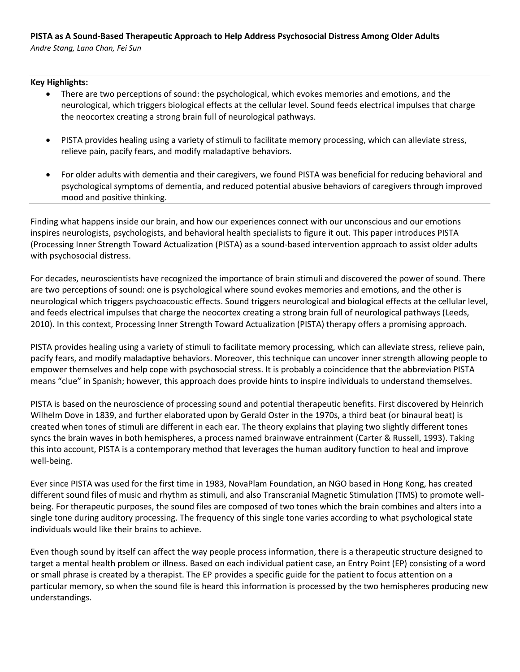## **PISTA as A Sound-Based Therapeutic Approach to Help Address Psychosocial Distress Among Older Adults**

*Andre Stang, Lana Chan, Fei Sun*

## **Key Highlights:**

- There are two perceptions of sound: the psychological, which evokes memories and emotions, and the neurological, which triggers biological effects at the cellular level. Sound feeds electrical impulses that charge the neocortex creating a strong brain full of neurological pathways.
- PISTA provides healing using a variety of stimuli to facilitate memory processing, which can alleviate stress, relieve pain, pacify fears, and modify maladaptive behaviors.
- For older adults with dementia and their caregivers, we found PISTA was beneficial for reducing behavioral and psychological symptoms of dementia, and reduced potential abusive behaviors of caregivers through improved mood and positive thinking.

Finding what happens inside our brain, and how our experiences connect with our unconscious and our emotions inspires neurologists, psychologists, and behavioral health specialists to figure it out. This paper introduces PISTA (Processing Inner Strength Toward Actualization (PISTA) as a sound-based intervention approach to assist older adults with psychosocial distress.

For decades, neuroscientists have recognized the importance of brain stimuli and discovered the power of sound. There are two perceptions of sound: one is psychological where sound evokes memories and emotions, and the other is neurological which triggers psychoacoustic effects. Sound triggers neurological and biological effects at the cellular level, and feeds electrical impulses that charge the neocortex creating a strong brain full of neurological pathways (Leeds, 2010). In this context, Processing Inner Strength Toward Actualization (PISTA) therapy offers a promising approach.

PISTA provides healing using a variety of stimuli to facilitate memory processing, which can alleviate stress, relieve pain, pacify fears, and modify maladaptive behaviors. Moreover, this technique can uncover inner strength allowing people to empower themselves and help cope with psychosocial stress. It is probably a coincidence that the abbreviation PISTA means "clue" in Spanish; however, this approach does provide hints to inspire individuals to understand themselves.

PISTA is based on the neuroscience of processing sound and potential therapeutic benefits. First discovered by Heinrich Wilhelm Dove in 1839, and further elaborated upon by Gerald Oster in the 1970s, a third beat (or binaural beat) is created when tones of stimuli are different in each ear. The theory explains that playing two slightly different tones syncs the brain waves in both hemispheres, a process named brainwave entrainment (Carter & Russell, 1993). Taking this into account, PISTA is a contemporary method that leverages the human auditory function to heal and improve well-being.

Ever since PISTA was used for the first time in 1983, NovaPlam Foundation, an NGO based in Hong Kong, has created different sound files of music and rhythm as stimuli, and also Transcranial Magnetic Stimulation (TMS) to promote wellbeing. For therapeutic purposes, the sound files are composed of two tones which the brain combines and alters into a single tone during auditory processing. The frequency of this single tone varies according to what psychological state individuals would like their brains to achieve.

Even though sound by itself can affect the way people process information, there is a therapeutic structure designed to target a mental health problem or illness. Based on each individual patient case, an Entry Point (EP) consisting of a word or small phrase is created by a therapist. The EP provides a specific guide for the patient to focus attention on a particular memory, so when the sound file is heard this information is processed by the two hemispheres producing new understandings.